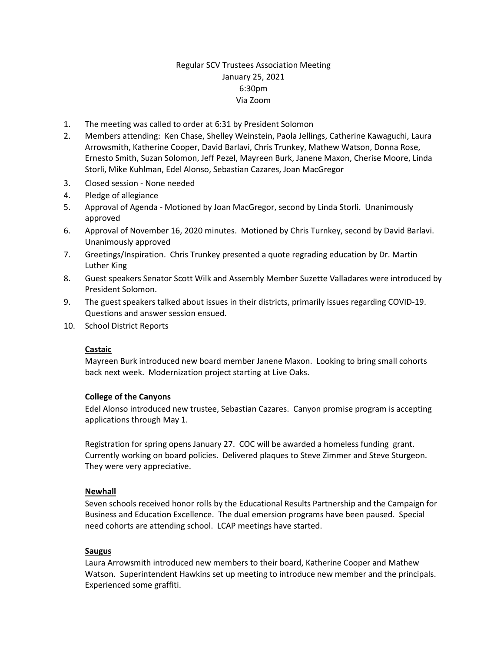# Regular SCV Trustees Association Meeting January 25, 2021 6:30pm Via Zoom

- 1. The meeting was called to order at 6:31 by President Solomon
- 2. Members attending: Ken Chase, Shelley Weinstein, Paola Jellings, Catherine Kawaguchi, Laura Arrowsmith, Katherine Cooper, David Barlavi, Chris Trunkey, Mathew Watson, Donna Rose, Ernesto Smith, Suzan Solomon, Jeff Pezel, Mayreen Burk, Janene Maxon, Cherise Moore, Linda Storli, Mike Kuhlman, Edel Alonso, Sebastian Cazares, Joan MacGregor
- 3. Closed session None needed
- 4. Pledge of allegiance
- 5. Approval of Agenda Motioned by Joan MacGregor, second by Linda Storli. Unanimously approved
- 6. Approval of November 16, 2020 minutes. Motioned by Chris Turnkey, second by David Barlavi. Unanimously approved
- 7. Greetings/Inspiration. Chris Trunkey presented a quote regrading education by Dr. Martin Luther King
- 8. Guest speakers Senator Scott Wilk and Assembly Member Suzette Valladares were introduced by President Solomon.
- 9. The guest speakers talked about issues in their districts, primarily issues regarding COVID-19. Questions and answer session ensued.
- 10. School District Reports

#### **Castaic**

Mayreen Burk introduced new board member Janene Maxon. Looking to bring small cohorts back next week. Modernization project starting at Live Oaks.

#### **College of the Canyons**

Edel Alonso introduced new trustee, Sebastian Cazares. Canyon promise program is accepting applications through May 1.

Registration for spring opens January 27. COC will be awarded a homeless funding grant. Currently working on board policies. Delivered plaques to Steve Zimmer and Steve Sturgeon. They were very appreciative.

### **Newhall**

Seven schools received honor rolls by the Educational Results Partnership and the Campaign for Business and Education Excellence. The dual emersion programs have been paused. Special need cohorts are attending school. LCAP meetings have started.

### **Saugus**

Laura Arrowsmith introduced new members to their board, Katherine Cooper and Mathew Watson. Superintendent Hawkins set up meeting to introduce new member and the principals. Experienced some graffiti.